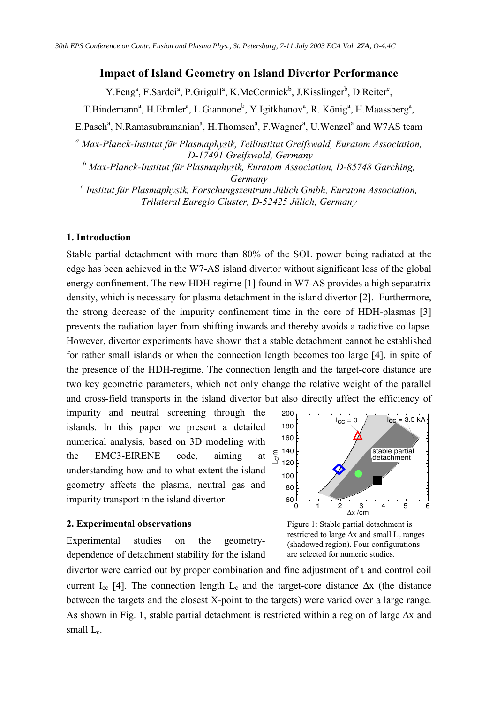# **Impact of Island Geometry on Island Divertor Performance**

Y.Feng<sup>a</sup>, F.Sardei<sup>a</sup>, P.Grigull<sup>a</sup>, K.McCormick<sup>b</sup>, J.Kisslinger<sup>b</sup>, D.Reiter<sup>c</sup>,

T.Bindemann<sup>a</sup>, H.Ehmler<sup>a</sup>, L.Giannone<sup>b</sup>, Y.Igitkhanov<sup>a</sup>, R. König<sup>a</sup>, H.Maassberg<sup>a</sup>,

E.Pasch<sup>a</sup>, N.Ramasubramanian<sup>a</sup>, H.Thomsen<sup>a</sup>, F.Wagner<sup>a</sup>, U.Wenzel<sup>a</sup> and W7AS team

*<sup>a</sup> Max-Planck-Institut für Plasmaphysik, Teilinstitut Greifswald, Euratom Association, D-17491 Greifswald, Germany*

*<sup>b</sup> Max-Planck-Institut für Plasmaphysik, Euratom Association, D-85748 Garching, Germany*

*c Institut für Plasmaphysik, Forschungszentrum Jülich Gmbh, Euratom Association, Trilateral Euregio Cluster, D-52425 Jülich, Germany*

# **1. Introduction**

Stable partial detachment with more than 80% of the SOL power being radiated at the edge has been achieved in the W7-AS island divertor without significant loss of the global energy confinement. The new HDH-regime [1] found in W7-AS provides a high separatrix density, which is necessary for plasma detachment in the island divertor [2]. Furthermore, the strong decrease of the impurity confinement time in the core of HDH-plasmas [3] prevents the radiation layer from shifting inwards and thereby avoids a radiative collapse. However, divertor experiments have shown that a stable detachment cannot be established for rather small islands or when the connection length becomes too large [4], in spite of the presence of the HDH-regime. The connection length and the target-core distance are two key geometric parameters, which not only change the relative weight of the parallel and cross-field transports in the island divertor but also directly affect the efficiency of

impurity and neutral screening through the islands. In this paper we present a detailed numerical analysis, based on 3D modeling with the EMC3-EIRENE code, aiming at understanding how and to what extent the island geometry affects the plasma, neutral gas and impurity transport in the island divertor.

# **2. Experimental observations**

Experimental studies on the geometrydependence of detachment stability for the island



Figure 1: Stable partial detachment is restricted to large  $\Delta x$  and small L<sub>c</sub> ranges (shadowed region). Four configurations are selected for numeric studies.

divertor were carried out by proper combination and fine adjustment of ι and control coil current I<sub>cc</sub> [4]. The connection length L<sub>c</sub> and the target-core distance  $\Delta x$  (the distance between the targets and the closest X-point to the targets) were varied over a large range. As shown in Fig. 1, stable partial detachment is restricted within a region of large ∆x and small  $L_c$ .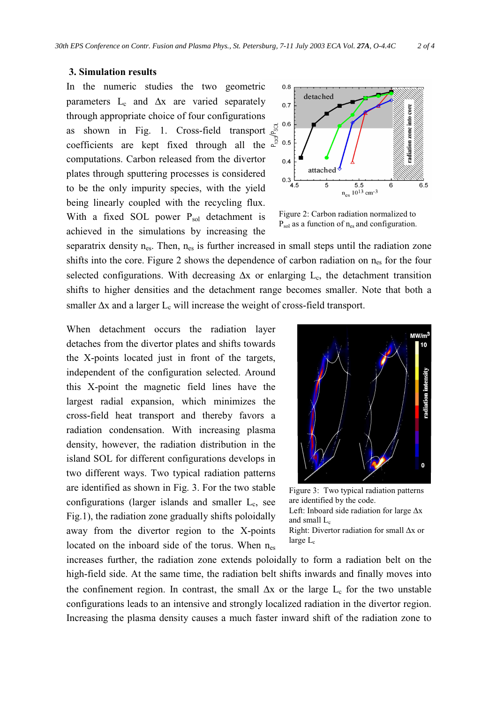## **3. Simulation results**

In the numeric studies the two geometric parameters  $L_c$  and  $\Delta x$  are varied separately through appropriate choice of four configurations as shown in Fig. 1. Cross-field transport  $\sum_{n=1}^{\infty}$ coefficients are kept fixed through all the  $\frac{1}{e^{\frac{1}{2}}}$ computations. Carbon released from the divertor plates through sputtering processes is considered to be the only impurity species, with the yield being linearly coupled with the recycling flux. With a fixed SOL power  $P_{sol}$  detachment is achieved in the simulations by increasing the



Figure 2: Carbon radiation normalized to  $P_{sol}$  as a function of  $n_{es}$  and configuration.

separatrix density  $n_{es}$ . Then,  $n_{es}$  is further increased in small steps until the radiation zone shifts into the core. Figure 2 shows the dependence of carbon radiation on n<sub>es</sub> for the four selected configurations. With decreasing ∆x or enlarging L<sub>c</sub>, the detachment transition shifts to higher densities and the detachment range becomes smaller. Note that both a smaller  $\Delta x$  and a larger L<sub>c</sub> will increase the weight of cross-field transport.

When detachment occurs the radiation layer detaches from the divertor plates and shifts towards the X-points located just in front of the targets, independent of the configuration selected. Around this X-point the magnetic field lines have the largest radial expansion, which minimizes the cross-field heat transport and thereby favors a radiation condensation. With increasing plasma density, however, the radiation distribution in the island SOL for different configurations develops in two different ways. Two typical radiation patterns are identified as shown in Fig. 3. For the two stable configurations (larger islands and smaller  $L_c$ , see Fig.1), the radiation zone gradually shifts poloidally away from the divertor region to the X-points located on the inboard side of the torus. When  $n_{es}$ 



Figure 3: Two typical radiation patterns are identified by the code.

Left: Inboard side radiation for large ∆x and small  $L_c$ 

Right: Divertor radiation for small ∆x or large  $L_c$ 

increases further, the radiation zone extends poloidally to form a radiation belt on the high-field side. At the same time, the radiation belt shifts inwards and finally moves into the confinement region. In contrast, the small  $\Delta x$  or the large L<sub>c</sub> for the two unstable configurations leads to an intensive and strongly localized radiation in the divertor region. Increasing the plasma density causes a much faster inward shift of the radiation zone to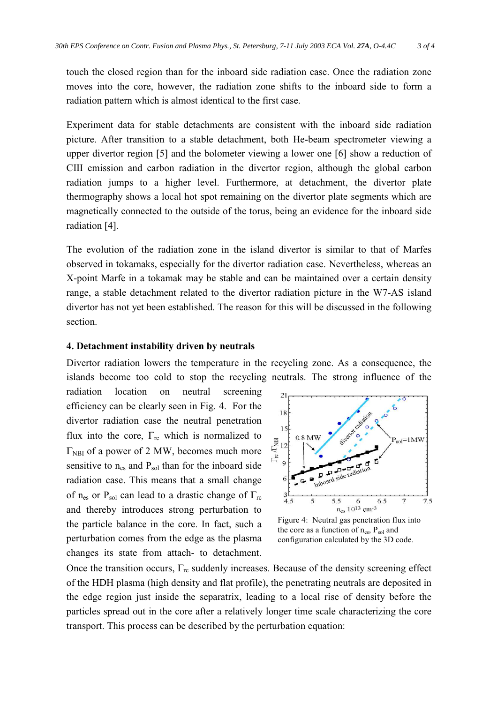touch the closed region than for the inboard side radiation case. Once the radiation zone moves into the core, however, the radiation zone shifts to the inboard side to form a radiation pattern which is almost identical to the first case.

Experiment data for stable detachments are consistent with the inboard side radiation picture. After transition to a stable detachment, both He-beam spectrometer viewing a upper divertor region [5] and the bolometer viewing a lower one [6] show a reduction of CIII emission and carbon radiation in the divertor region, although the global carbon radiation jumps to a higher level. Furthermore, at detachment, the divertor plate thermography shows a local hot spot remaining on the divertor plate segments which are magnetically connected to the outside of the torus, being an evidence for the inboard side radiation [4].

The evolution of the radiation zone in the island divertor is similar to that of Marfes observed in tokamaks, especially for the divertor radiation case. Nevertheless, whereas an X-point Marfe in a tokamak may be stable and can be maintained over a certain density range, a stable detachment related to the divertor radiation picture in the W7-AS island divertor has not yet been established. The reason for this will be discussed in the following section.

### **4. Detachment instability driven by neutrals**

Divertor radiation lowers the temperature in the recycling zone. As a consequence, the islands become too cold to stop the recycling neutrals. The strong influence of the

radiation location on neutral screening efficiency can be clearly seen in Fig. 4. For the divertor radiation case the neutral penetration flux into the core,  $\Gamma_{\text{rc}}$  which is normalized to  $\Gamma_{\text{NBI}}$  of a power of 2 MW, becomes much more sensitive to  $n_{es}$  and  $P_{sol}$  than for the inboard side radiation case. This means that a small change of n<sub>es</sub> or P<sub>sol</sub> can lead to a drastic change of  $\Gamma_{\text{rc}}$ and thereby introduces strong perturbation to the particle balance in the core. In fact, such a perturbation comes from the edge as the plasma changes its state from attach- to detachment.



Figure 4: Neutral gas penetration flux into the core as a function of  $n_{es}$ ,  $P_{sol}$  and configuration calculated by the 3D code.

Once the transition occurs,  $\Gamma_{\text{rc}}$  suddenly increases. Because of the density screening effect of the HDH plasma (high density and flat profile), the penetrating neutrals are deposited in the edge region just inside the separatrix, leading to a local rise of density before the particles spread out in the core after a relatively longer time scale characterizing the core transport. This process can be described by the perturbation equation: